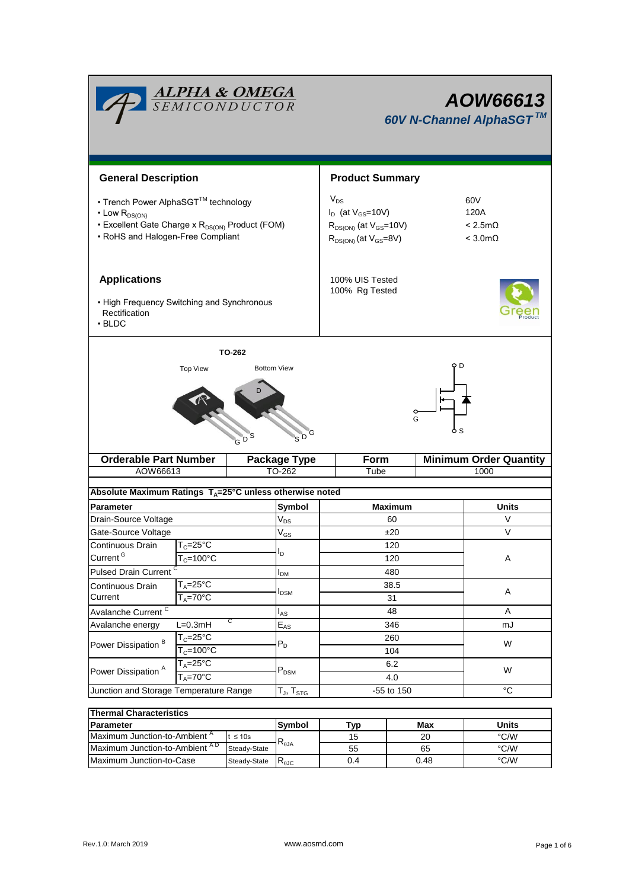| <b>ALPHA &amp; OMEGA</b><br>SEMICONDUCTOR                                                                                                                           |                                        |                         |                                           | AOW66613<br>60V N-Channel AlphaSGT™                                                                       |                                                    |                |  |  |
|---------------------------------------------------------------------------------------------------------------------------------------------------------------------|----------------------------------------|-------------------------|-------------------------------------------|-----------------------------------------------------------------------------------------------------------|----------------------------------------------------|----------------|--|--|
| <b>General Description</b>                                                                                                                                          |                                        |                         |                                           | <b>Product Summary</b>                                                                                    |                                                    |                |  |  |
|                                                                                                                                                                     |                                        |                         |                                           |                                                                                                           |                                                    |                |  |  |
| • Trench Power AlphaSGT™ technology<br>$\cdot$ Low $R_{DS(ON)}$<br>• Excellent Gate Charge x R <sub>DS(ON)</sub> Product (FOM)<br>• RoHS and Halogen-Free Compliant |                                        |                         |                                           | $V_{DS}$<br>$I_D$ (at $V_{GS}$ =10V)<br>$R_{DS(ON)}$ (at $V_{GS}$ =10V)<br>$R_{DS(ON)}$ (at $V_{GS}=8V$ ) | 60V<br>120A<br>$< 2.5m\Omega$<br>$<$ 3.0m $\Omega$ |                |  |  |
| <b>Applications</b><br>• High Frequency Switching and Synchronous<br>Rectification<br>$\cdot$ BLDC                                                                  |                                        |                         |                                           | 100% UIS Tested<br>100% Rg Tested                                                                         |                                                    |                |  |  |
|                                                                                                                                                                     |                                        | TO-262                  |                                           |                                                                                                           |                                                    |                |  |  |
|                                                                                                                                                                     | <b>Top View</b>                        |                         | <b>Bottom View</b>                        |                                                                                                           | D                                                  |                |  |  |
| D.                                                                                                                                                                  |                                        |                         | G<br>$\overline{\mathsf{S}}^{\mathsf{D}}$ | o<br>G                                                                                                    |                                                    |                |  |  |
| <b>Orderable Part Number</b>                                                                                                                                        |                                        | <b>Package Type</b>     | Form                                      |                                                                                                           | <b>Minimum Order Quantity</b>                      |                |  |  |
| AOW66613                                                                                                                                                            |                                        |                         | TO-262                                    | Tube                                                                                                      |                                                    | 1000           |  |  |
| Absolute Maximum Ratings $T_A = 25^\circ C$ unless otherwise noted                                                                                                  |                                        |                         |                                           |                                                                                                           |                                                    |                |  |  |
| <b>Parameter</b>                                                                                                                                                    |                                        |                         | Symbol                                    | <b>Maximum</b>                                                                                            |                                                    | <b>Units</b>   |  |  |
| Drain-Source Voltage                                                                                                                                                |                                        |                         | $V_{DS}$                                  | 60                                                                                                        |                                                    | V              |  |  |
| Gate-Source Voltage                                                                                                                                                 |                                        |                         | $\rm V_{GS}$                              | ±20                                                                                                       |                                                    | V              |  |  |
| Continuous Drain                                                                                                                                                    | $T_c = 25^{\circ}C$                    |                         |                                           | 120                                                                                                       |                                                    |                |  |  |
| Current <sup>G</sup>                                                                                                                                                | $T_c = 100^{\circ}$ C                  |                         | I <sub>D</sub>                            | 120                                                                                                       |                                                    | Α              |  |  |
| <b>Pulsed Drain Current</b>                                                                                                                                         |                                        |                         | $I_{DM}$                                  | 480                                                                                                       |                                                    |                |  |  |
| $T_A = 25$ °C<br>Continuous Drain                                                                                                                                   |                                        |                         |                                           | 38.5                                                                                                      |                                                    |                |  |  |
| $T_A = 70$ °C<br>Current                                                                                                                                            |                                        | <b>I</b> <sub>DSM</sub> | 31                                        |                                                                                                           | Α                                                  |                |  |  |
| Avalanche Current <sup>C</sup>                                                                                                                                      |                                        |                         | $I_{AS}$                                  | 48                                                                                                        |                                                    | A              |  |  |
| С<br>$L=0.3mH$<br>Avalanche energy                                                                                                                                  |                                        |                         | $E_{AS}$                                  | 346                                                                                                       |                                                    | mJ             |  |  |
|                                                                                                                                                                     | $T_c = 25$ °C<br>$T_c = 100^{\circ}$ C |                         |                                           | 260                                                                                                       |                                                    |                |  |  |
| Power Dissipation <sup>B</sup>                                                                                                                                      |                                        |                         | $P_D$                                     | 104                                                                                                       |                                                    | W              |  |  |
|                                                                                                                                                                     | $T_A = 25^{\circ}C$<br>$T_A = 70$ °C   |                         | $\mathsf{P}_\mathsf{DSM}$                 | 6.2                                                                                                       |                                                    |                |  |  |
| Power Dissipation <sup>A</sup>                                                                                                                                      |                                        |                         |                                           | 4.0                                                                                                       |                                                    | W              |  |  |
| Junction and Storage Temperature Range                                                                                                                              |                                        |                         | $T_J$ , $T_{STG}$                         | -55 to 150                                                                                                |                                                    | $\overline{C}$ |  |  |
|                                                                                                                                                                     |                                        |                         |                                           |                                                                                                           |                                                    |                |  |  |
| <b>Thermal Characteristics</b>                                                                                                                                      |                                        |                         |                                           |                                                                                                           |                                                    |                |  |  |

| <b>IThermal Characteristics</b>           |              |                           |     |       |      |  |  |  |
|-------------------------------------------|--------------|---------------------------|-----|-------|------|--|--|--|
| <b>IParameter</b>                         | Svmbol       | Tvp                       | Max | Units |      |  |  |  |
| Maximum Junction-to-Ambient <sup>A</sup>  | $\leq 10s$   |                           | 15  | 20    | °C/W |  |  |  |
| Maximum Junction-to-Ambient <sup>AD</sup> | Steady-State | $R_{\theta$ JA            | 55  | 65    | °C/W |  |  |  |
| Maximum Junction-to-Case                  | Steady-State | $\mathsf{R}_{\text{0JC}}$ | 0.4 | 0.48  | °C/W |  |  |  |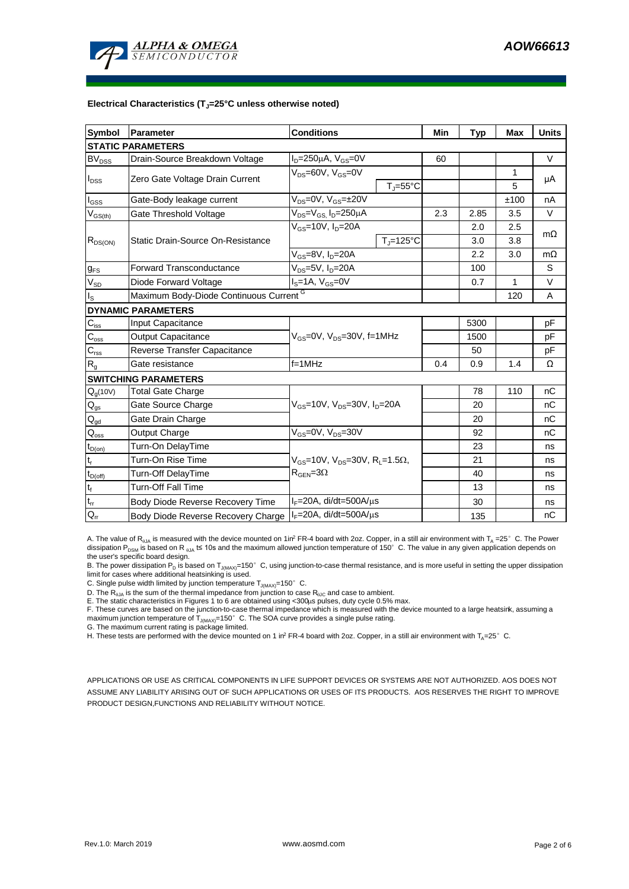

#### **Electrical Characteristics (TJ=25°C unless otherwise noted)**

| <b>Symbol</b>                           | <b>Parameter</b>                        | <b>Conditions</b>                                            | Min                 | <b>Typ</b> | Max  | <b>Units</b> |           |  |  |
|-----------------------------------------|-----------------------------------------|--------------------------------------------------------------|---------------------|------------|------|--------------|-----------|--|--|
| <b>STATIC PARAMETERS</b>                |                                         |                                                              |                     |            |      |              |           |  |  |
| $BV_{DSS}$                              | Drain-Source Breakdown Voltage          | $I_D = 250 \mu A$ , $V_{GS} = 0V$                            |                     | 60         |      |              | $\vee$    |  |  |
| I <sub>DSS</sub>                        | Zero Gate Voltage Drain Current         | $V_{DS}$ =60V, $V_{GS}$ =0V                                  |                     |            |      | 1            | μA        |  |  |
|                                         |                                         |                                                              | $T_i = 55^{\circ}C$ |            |      | 5            |           |  |  |
| l <sub>GSS</sub>                        | Gate-Body leakage current               | $V_{DS} = 0V$ , $V_{GS} = \pm 20V$                           |                     |            |      | ±100         | nA        |  |  |
| $\mathsf{V}_{\mathsf{GS}(\mathsf{th})}$ | Gate Threshold Voltage                  | $V_{DS} = V_{GS}$ , $I_D = 250 \mu A$                        |                     | 2.3        | 2.85 | 3.5          | $\vee$    |  |  |
| $R_{DS(ON)}$                            |                                         | $V_{GS}$ =10V, $I_D$ =20A                                    |                     |            | 2.0  | 2.5          |           |  |  |
|                                         | Static Drain-Source On-Resistance       |                                                              | $T_{\rm J}$ =125°C  |            | 3.0  | 3.8          | $m\Omega$ |  |  |
|                                         |                                         | $V_{GS}$ =8V, $I_{D}$ =20A                                   |                     | 2.2        | 3.0  | $m\Omega$    |           |  |  |
| $g_{FS}$                                | <b>Forward Transconductance</b>         | $V_{DS} = 5V$ , $I_D = 20A$                                  |                     |            | 100  |              | S         |  |  |
| $V_{SD}$                                | Diode Forward Voltage                   | $I_S = 1A$ , $V_{GS} = 0V$                                   |                     |            | 0.7  | 1            | V         |  |  |
| Is                                      | Maximum Body-Diode Continuous Current G |                                                              |                     |            |      | 120          | A         |  |  |
|                                         | <b>DYNAMIC PARAMETERS</b>               |                                                              |                     |            |      |              |           |  |  |
| $C_{\text{iss}}$                        | <b>Input Capacitance</b>                |                                                              |                     |            | 5300 |              | pF        |  |  |
| $\mathsf{C}_{\mathrm{oss}}$             | <b>Output Capacitance</b>               | $V_{GS}$ =0V, $V_{DS}$ =30V, f=1MHz                          |                     |            | 1500 |              | рF        |  |  |
| $C_{rss}$                               | Reverse Transfer Capacitance            |                                                              |                     |            | 50   |              | рF        |  |  |
| R <sub>g</sub>                          | Gate resistance                         | $f = 1$ MHz                                                  |                     | 0.4        | 0.9  | 1.4          | Ω         |  |  |
|                                         | <b>SWITCHING PARAMETERS</b>             |                                                              |                     |            |      |              |           |  |  |
| $Q_g(10V)$                              | <b>Total Gate Charge</b>                | $V_{GS}$ =10V, $V_{DS}$ =30V, $I_{D}$ =20A                   |                     |            | 78   | 110          | nC        |  |  |
| $Q_{gs}$                                | Gate Source Charge                      |                                                              |                     |            | 20   |              | nC        |  |  |
| $\mathsf{Q}_{\underline{\mathsf{gd}}}$  | Gate Drain Charge                       |                                                              |                     |            | 20   |              | nC        |  |  |
| $\mathsf{Q}_{\mathsf{oss}}$             | Output Charge                           | $V_{GS}$ =0V, $V_{DS}$ =30V                                  |                     |            | 92   |              | nC        |  |  |
| $t_{D(on)}$                             | Turn-On DelayTime                       |                                                              |                     |            | 23   |              | ns        |  |  |
| $t_r$                                   | Turn-On Rise Time                       | $V_{GS}$ =10V, $V_{DS}$ =30V, R <sub>L</sub> =1.5 $\Omega$ , |                     |            | 21   |              | ns        |  |  |
| $t_{D(off)}$                            | <b>Turn-Off DelayTime</b>               | $R_{\text{GEN}} = 3\Omega$                                   |                     |            | 40   |              | ns        |  |  |
| $t_f$                                   | <b>Turn-Off Fall Time</b>               |                                                              |                     |            | 13   |              | ns        |  |  |
| $t_{rr}$                                | Body Diode Reverse Recovery Time        | $I_F = 20A$ , di/dt=500A/ $\mu$ s                            |                     |            | 30   |              | ns        |  |  |
| $Q_{rr}$                                | Body Diode Reverse Recovery Charge      | $I_F = 20A$ , di/dt=500A/ $\mu$ s                            |                     |            | 135  |              | nC        |  |  |

A. The value of R<sub>hJA</sub> is measured with the device mounted on 1in<sup>2</sup> FR-4 board with 2oz. Copper, in a still air environment with T<sub>A</sub> =25°C. The Power dissipation P<sub>DSM</sub> is based on R  $_{0.1A}$  t≤ 10s and the maximum allowed junction temperature of 150°C. The value in any given application depends on the user's specific board design.

B. The power dissipation P<sub>D</sub> is based on T<sub>J(MAX)</sub>=150°C, using junction-to-case thermal resistance, and is more useful in setting the upper dissipation limit for cases where additional heatsinking is used.

C. Single pulse width limited by junction temperature  $T_{J(MAX)}$ =150°C.

D. The  $R_{p,q}$  is the sum of the thermal impedance from junction to case  $R_{p,q}$  and case to ambient.

E. The static characteristics in Figures 1 to 6 are obtained using <300μs pulses, duty cycle 0.5% max.<br>F. These curves are based on the junction-to-case thermal impedance which is measured with the device mounted to a lar maximum junction temperature of  $T_{J(MAX)}$ =150°C. The SOA curve provides a single pulse rating.

G. The maximum current rating is package limited.

H. These tests are performed with the device mounted on 1 in<sup>2</sup> FR-4 board with 2oz. Copper, in a still air environment with T<sub>A</sub>=25°C.

APPLICATIONS OR USE AS CRITICAL COMPONENTS IN LIFE SUPPORT DEVICES OR SYSTEMS ARE NOT AUTHORIZED. AOS DOES NOT ASSUME ANY LIABILITY ARISING OUT OF SUCH APPLICATIONS OR USES OF ITS PRODUCTS. AOS RESERVES THE RIGHT TO IMPROVE PRODUCT DESIGN,FUNCTIONS AND RELIABILITY WITHOUT NOTICE.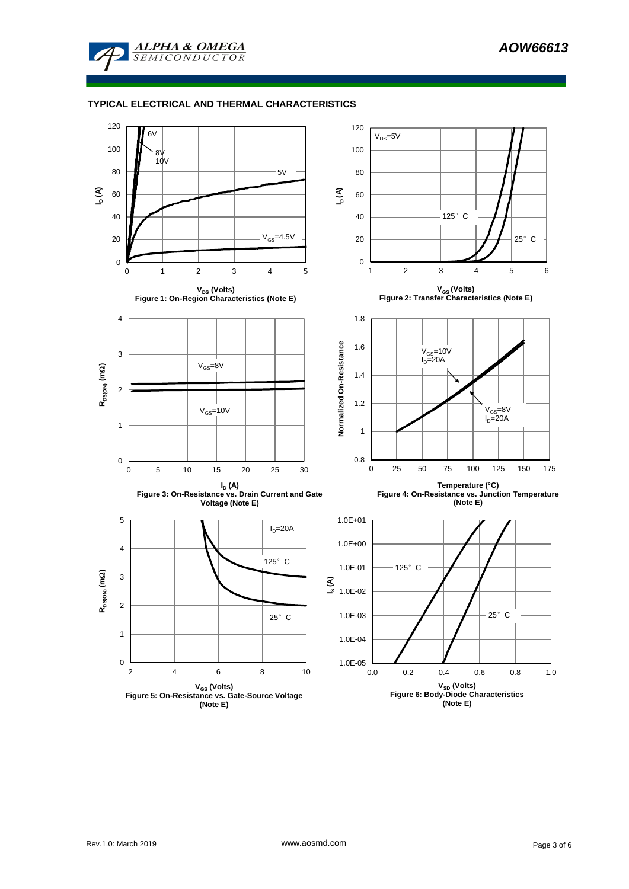

#### **TYPICAL ELECTRICAL AND THERMAL CHARACTERISTICS**

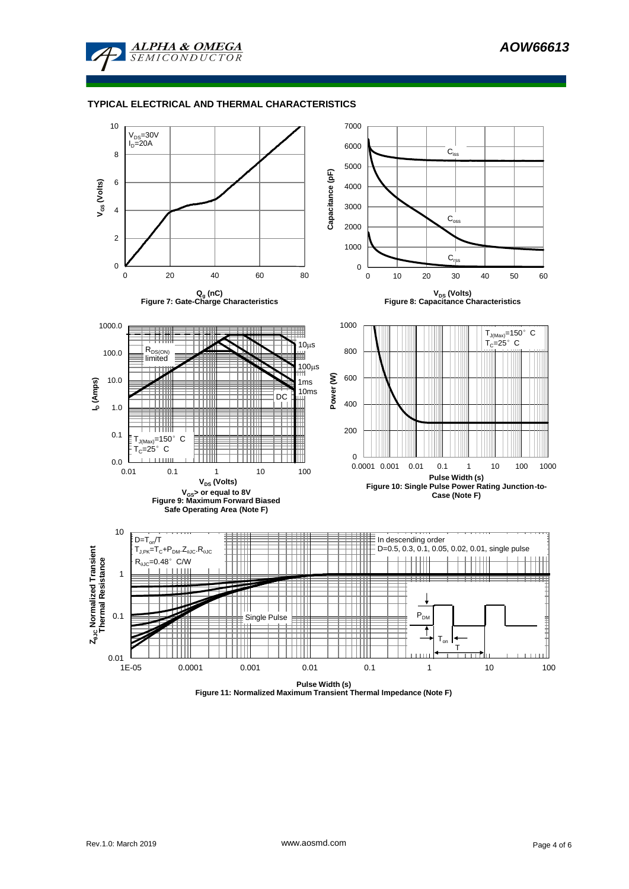

#### **TYPICAL ELECTRICAL AND THERMAL CHARACTERISTICS**



**Figure 11: Normalized Maximum Transient Thermal Impedance (Note F)**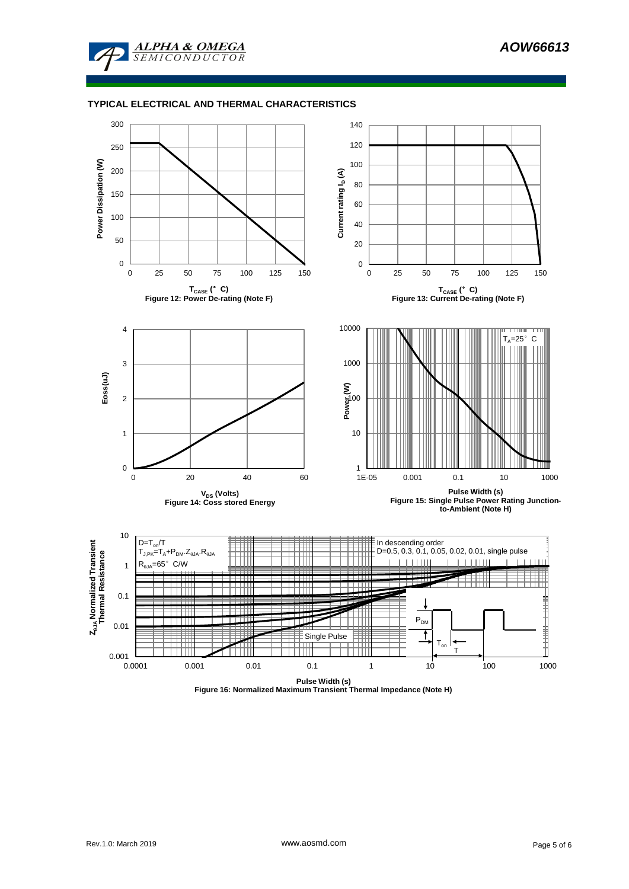

### **TYPICAL ELECTRICAL AND THERMAL CHARACTERISTICS**



**Figure 16: Normalized Maximum Transient Thermal Impedance (Note H)**